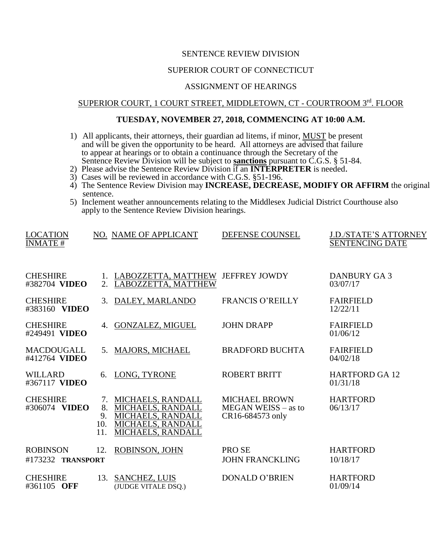### SENTENCE REVIEW DIVISION

# SUPERIOR COURT OF CONNECTICUT

### ASSIGNMENT OF HEARINGS

### SUPERIOR COURT, 1 COURT STREET, MIDDLETOWN, CT - COURTROOM 3rd. FLOOR

# **TUESDAY, NOVEMBER 27, 2018, COMMENCING AT 10:00 A.M.**

- 1) All applicants, their attorneys, their guardian ad litems, if minor, MUST be present and will be given the opportunity to be heard. All attorneys are advised that failure to appear at hearings or to obtain a continuance through the Secretary of the Sentence Review Division will be subject to **sanctions** pursuant to C.G.S. § 51-84.
- 2) Please advise the Sentence Review Division if an **INTERPRETER** is needed.
- 3) Cases will be reviewed in accordance with C.G.S. §51-196.
- 4) The Sentence Review Division may **INCREASE, DECREASE, MODIFY OR AFFIRM** the original sentence.
- 5) Inclement weather announcements relating to the Middlesex Judicial District Courthouse also apply to the Sentence Review Division hearings.

| <b>LOCATION</b><br><b>INMATE#</b>    |                              | NO. NAME OF APPLICANT                                                                                               | DEFENSE COUNSEL                                                   | <b>J.D./STATE'S ATTORNEY</b><br><b>SENTENCING DATE</b> |
|--------------------------------------|------------------------------|---------------------------------------------------------------------------------------------------------------------|-------------------------------------------------------------------|--------------------------------------------------------|
| <b>CHESHIRE</b><br>#382704 VIDEO     |                              | 1. LABOZZETTA, MATTHEW JEFFREY JOWDY<br>2. LABOZZETTA, MATTHEW                                                      |                                                                   | <b>DANBURY GA3</b><br>03/07/17                         |
| <b>CHESHIRE</b><br>#383160 VIDEO     |                              | 3. DALEY, MARLANDO                                                                                                  | <b>FRANCIS O'REILLY</b>                                           | <b>FAIRFIELD</b><br>12/22/11                           |
| <b>CHESHIRE</b><br>#249491 VIDEO     | 4.                           | <b>GONZALEZ, MIGUEL</b>                                                                                             | <b>JOHN DRAPP</b>                                                 | <b>FAIRFIELD</b><br>01/06/12                           |
| <b>MACDOUGALL</b><br>#412764 VIDEO   | 5.                           | MAJORS, MICHAEL                                                                                                     | <b>BRADFORD BUCHTA</b>                                            | <b>FAIRFIELD</b><br>04/02/18                           |
| <b>WILLARD</b><br>#367117 VIDEO      | 6.                           | LONG, TYRONE                                                                                                        | <b>ROBERT BRITT</b>                                               | <b>HARTFORD GA 12</b><br>01/31/18                      |
| <b>CHESHIRE</b><br>#306074 VIDEO     | 7.<br>8.<br>9.<br>10.<br>11. | <b>MICHAELS, RANDALL</b><br>MICHAELS, RANDALL<br><b>MICHAELS, RANDALL</b><br>MICHAELS, RANDALL<br>MICHAELS, RANDALL | <b>MICHAEL BROWN</b><br>$MEGAN WEISS - as to$<br>CR16-684573 only | <b>HARTFORD</b><br>06/13/17                            |
| <b>ROBINSON</b><br>#173232 TRANSPORT | 12.                          | ROBINSON, JOHN                                                                                                      | PRO SE<br><b>JOHN FRANCKLING</b>                                  | <b>HARTFORD</b><br>10/18/17                            |
| <b>CHESHIRE</b><br>#361105 OFF       |                              | 13. SANCHEZ, LUIS<br>(JUDGE VITALE DSQ.)                                                                            | <b>DONALD O'BRIEN</b>                                             | <b>HARTFORD</b><br>01/09/14                            |